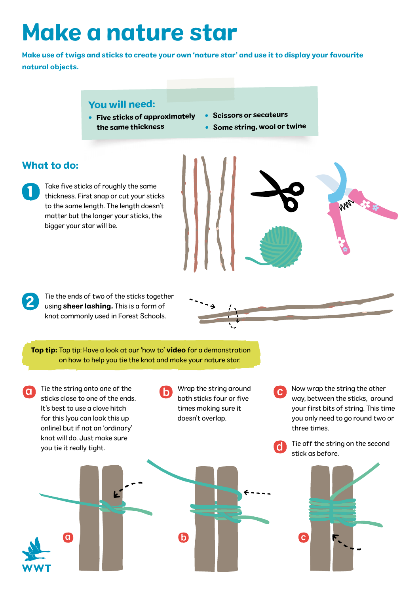# Make a nature star

Make use of twigs and sticks to create your own 'nature star' and use it to display your favourite natural objects.

#### You will need:

- Five sticks of approximately the same thickness
- Scissors or secateurs
- Some string, wool or twine

#### What to do:

2

Take five sticks of roughly the same thickness. First snap or cut your sticks to the same length. The length doesn't matter but the longer your sticks, the bigger your star will be. 1

Tie the ends of two of the sticks together using **sheer lashing.** This is a form of knot commonly used in Forest Schools.

Top tip: Top tip: Have a look at our 'how to' [video](https://www.youtube.com/watch?v=H1VfXG2CLos&feature=youtu.be) for a demonstration on how to help you tie the knot and make your nature star.

- $\bullet$  Tie the string onto one of the  $\bullet$  Wrap the string around sticks close to one of the ends. It's best to use a clove hitch for this (you can look this up online) but if not an 'ordinary' knot will do. Just make sure you tie it really tight.
- Wrap the string around both sticks four or five times making sure it doesn't overlap.
- Now wrap the string the other way, between the sticks, around your first bits of string. This time you only need to go round two or three times.
- Tie off the string on the second d. stick as before.